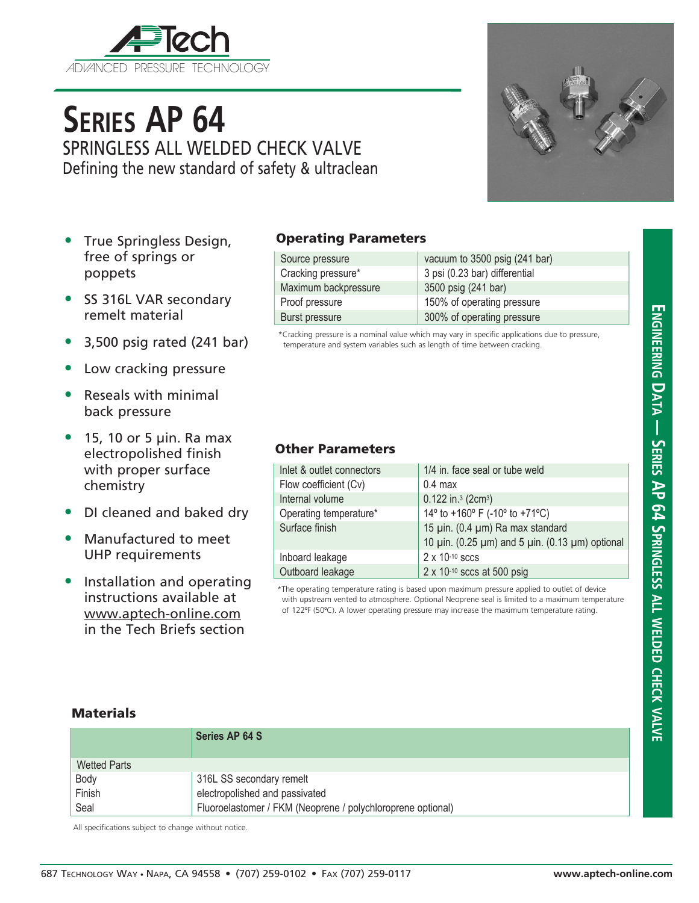

# **Series AP 64** SPRINGLESS ALL WELDED CHECK VALVE Defining the new standard of safety & ultraclean

- True Springless Design, free of springs or poppets
- SS 316L VAR secondary remelt material
- 3,500 psig rated (241 bar)
- Low cracking pressure
- Reseals with minimal back pressure
- $\bullet$  15, 10 or 5 µin. Ra max electropolished finish with proper surface chemistry
- DI cleaned and baked dry
- Manufactured to meet UHP requirements
- Installation and operating instructions available at www.aptech-online.com in the Tech Briefs section

#### Operating Parameters

| Source pressure       | vacuum to 3500 psig (241 bar) |
|-----------------------|-------------------------------|
| Cracking pressure*    | 3 psi (0.23 bar) differential |
| Maximum backpressure  | 3500 psig (241 bar)           |
| Proof pressure        | 150% of operating pressure    |
| <b>Burst pressure</b> | 300% of operating pressure    |

\*Cracking pressure is a nominal value which may vary in specific applications due to pressure, temperature and system variables such as length of time between cracking.

### Other Parameters

| Inlet & outlet connectors | 1/4 in. face seal or tube weld                                      |
|---------------------------|---------------------------------------------------------------------|
| Flow coefficient (Cv)     | $0.4$ max                                                           |
| Internal volume           | $0.122$ in. <sup>3</sup> (2cm <sup>3</sup> )                        |
| Operating temperature*    | 14 $\degree$ to +160 $\degree$ F (-10 $\degree$ to +71 $\degree$ C) |
| Surface finish            | 15 µin. (0.4 µm) Ra max standard                                    |
|                           | 10 μin. (0.25 μm) and 5 μin. (0.13 μm) optional                     |
| Inboard leakage           | $2 \times 10^{-10}$ sccs                                            |
| Outboard leakage          | 2 x 10-10 sccs at 500 psig                                          |

\*The operating temperature rating is based upon maximum pressure applied to outlet of device with upstream vented to atmosphere. Optional Neoprene seal is limited to a maximum temperature of 122ºF (50ºC). A lower operating pressure may increase the maximum temperature rating.

#### **Materials**

|              | Series AP 64 S                                              |
|--------------|-------------------------------------------------------------|
| Wetted Parts |                                                             |
| Body         | 316L SS secondary remelt                                    |
| Finish       | electropolished and passivated                              |
| Seal         | Fluoroelastomer / FKM (Neoprene / polychloroprene optional) |

All specifications subject to change without notice.